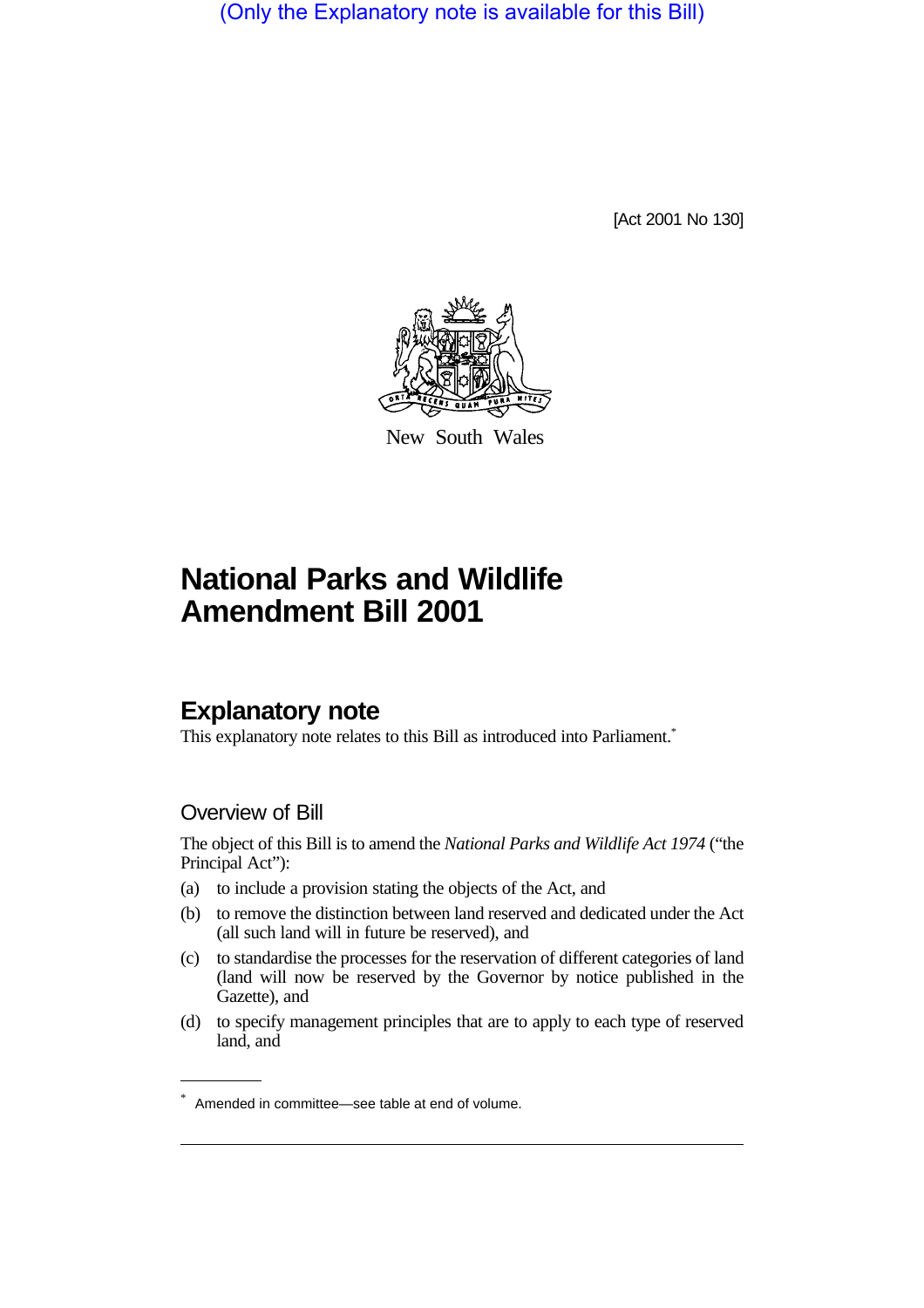(Only the Explanatory note is available for this Bill)

[Act 2001 No 130]



New South Wales

# **National Parks and Wildlife Amendment Bill 2001**

# **Explanatory note**

This explanatory note relates to this Bill as introduced into Parliament.<sup>\*</sup>

### Overview of Bill

The object of this Bill is to amend the *National Parks and Wildlife Act 1974* ("the Principal Act"):

- (a) to include a provision stating the objects of the Act, and
- (b) to remove the distinction between land reserved and dedicated under the Act (all such land will in future be reserved), and
- (c) to standardise the processes for the reservation of different categories of land (land will now be reserved by the Governor by notice published in the Gazette), and
- (d) to specify management principles that are to apply to each type of reserved land, and

<sup>\*</sup> Amended in committee—see table at end of volume.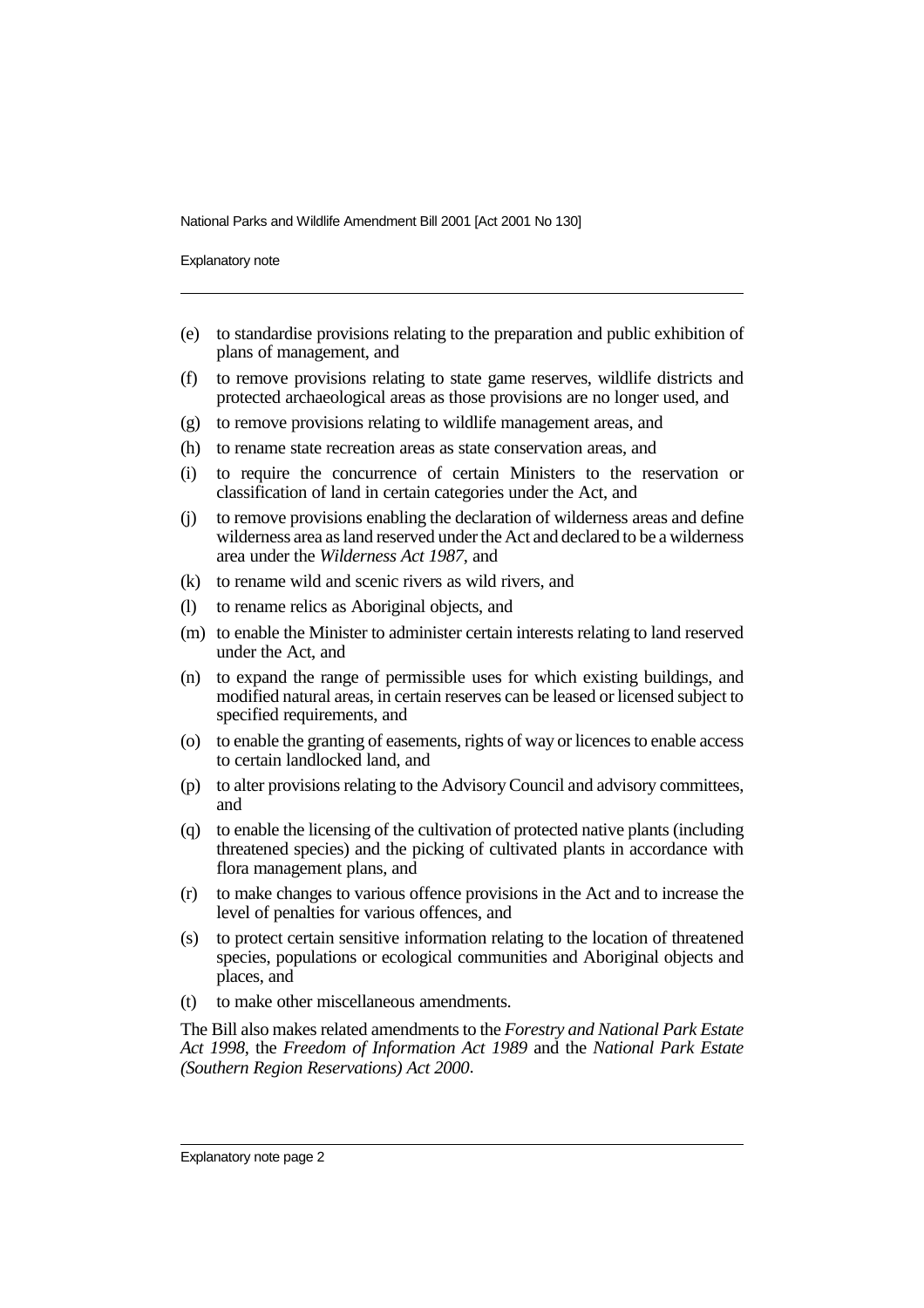Explanatory note

- (e) to standardise provisions relating to the preparation and public exhibition of plans of management, and
- (f) to remove provisions relating to state game reserves, wildlife districts and protected archaeological areas as those provisions are no longer used, and
- (g) to remove provisions relating to wildlife management areas, and
- (h) to rename state recreation areas as state conservation areas, and
- (i) to require the concurrence of certain Ministers to the reservation or classification of land in certain categories under the Act, and
- (j) to remove provisions enabling the declaration of wilderness areas and define wilderness area as land reserved under the Act and declared to be a wilderness area under the *Wilderness Act 1987*, and
- (k) to rename wild and scenic rivers as wild rivers, and
- (l) to rename relics as Aboriginal objects, and
- (m) to enable the Minister to administer certain interests relating to land reserved under the Act, and
- (n) to expand the range of permissible uses for which existing buildings, and modified natural areas, in certain reserves can be leased or licensed subject to specified requirements, and
- (o) to enable the granting of easements, rights of way or licences to enable access to certain landlocked land, and
- (p) to alter provisions relating to the Advisory Council and advisory committees, and
- (q) to enable the licensing of the cultivation of protected native plants (including threatened species) and the picking of cultivated plants in accordance with flora management plans, and
- (r) to make changes to various offence provisions in the Act and to increase the level of penalties for various offences, and
- (s) to protect certain sensitive information relating to the location of threatened species, populations or ecological communities and Aboriginal objects and places, and
- (t) to make other miscellaneous amendments.

The Bill also makes related amendments to the *Forestry and National Park Estate Act 1998*, the *Freedom of Information Act 1989* and the *National Park Estate (Southern Region Reservations) Act 2000*.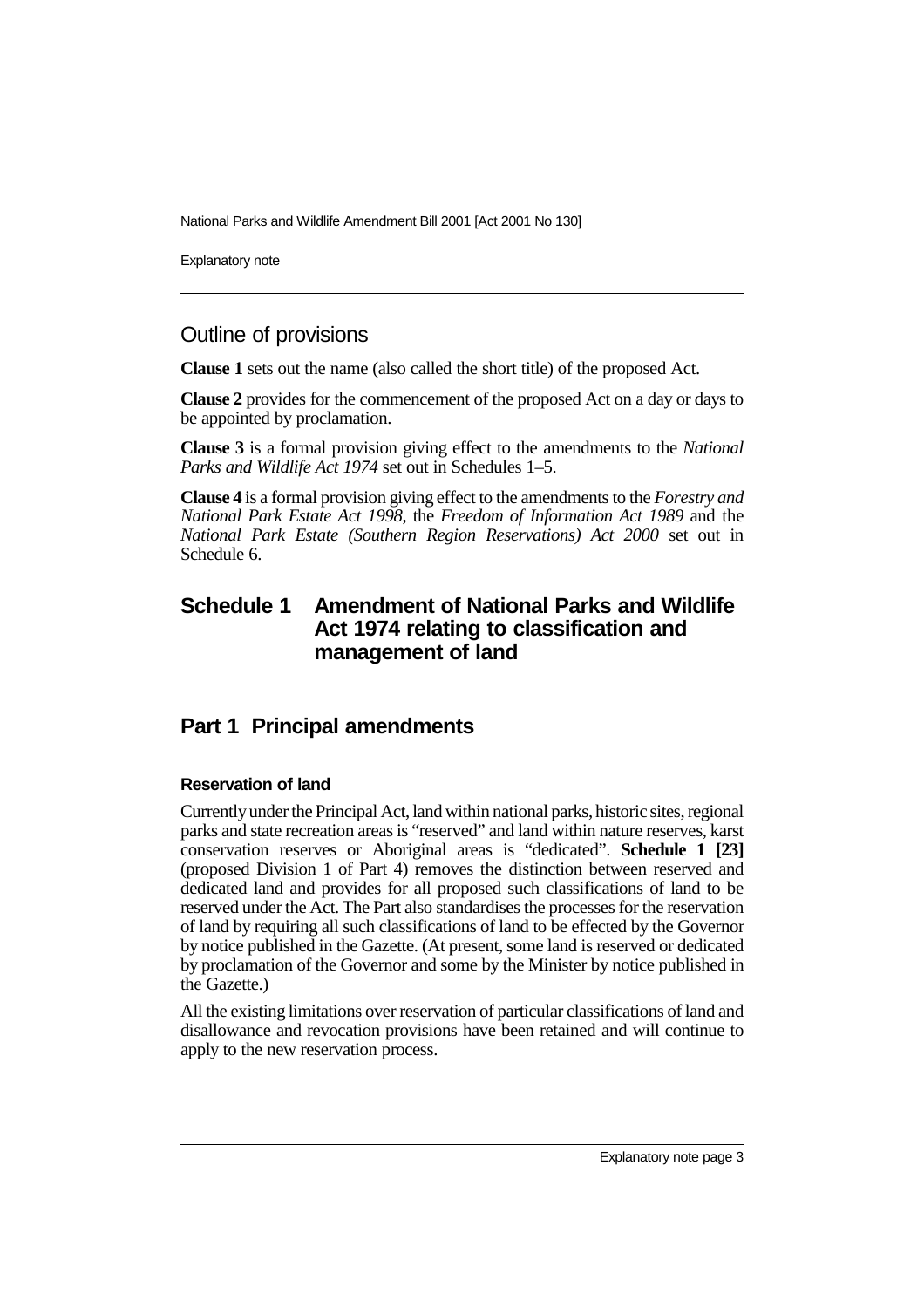Explanatory note

### Outline of provisions

**Clause 1** sets out the name (also called the short title) of the proposed Act.

**Clause 2** provides for the commencement of the proposed Act on a day or days to be appointed by proclamation.

**Clause 3** is a formal provision giving effect to the amendments to the *National Parks and Wildlife Act 1974* set out in Schedules 1–5.

**Clause 4** is a formal provision giving effect to the amendments to the *Forestry and National Park Estate Act 1998*, the *Freedom of Information Act 1989* and the *National Park Estate (Southern Region Reservations) Act 2000* set out in Schedule 6.

### **Schedule 1 Amendment of National Parks and Wildlife Act 1974 relating to classification and management of land**

### **Part 1 Principal amendments**

### **Reservation of land**

Currently under the Principal Act, land within national parks, historic sites, regional parks and state recreation areas is "reserved" and land within nature reserves, karst conservation reserves or Aboriginal areas is "dedicated". **Schedule 1 [23]** (proposed Division 1 of Part 4) removes the distinction between reserved and dedicated land and provides for all proposed such classifications of land to be reserved under the Act. The Part also standardises the processes for the reservation of land by requiring all such classifications of land to be effected by the Governor by notice published in the Gazette. (At present, some land is reserved or dedicated by proclamation of the Governor and some by the Minister by notice published in the Gazette.)

All the existing limitations over reservation of particular classifications of land and disallowance and revocation provisions have been retained and will continue to apply to the new reservation process.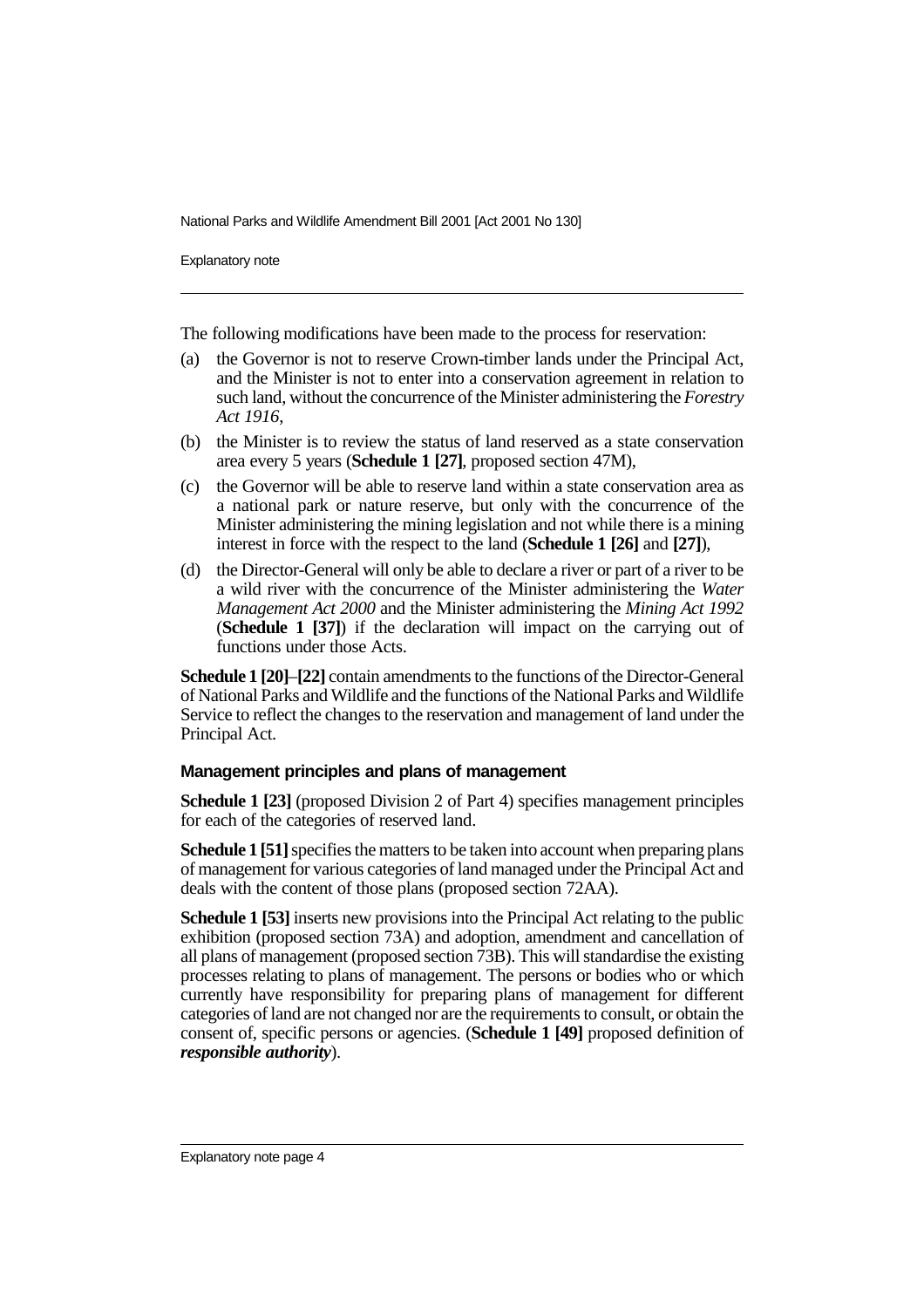Explanatory note

The following modifications have been made to the process for reservation:

- (a) the Governor is not to reserve Crown-timber lands under the Principal Act, and the Minister is not to enter into a conservation agreement in relation to such land, without the concurrence of the Minister administering the *Forestry Act 1916*,
- (b) the Minister is to review the status of land reserved as a state conservation area every 5 years (**Schedule 1 [27]**, proposed section 47M),
- (c) the Governor will be able to reserve land within a state conservation area as a national park or nature reserve, but only with the concurrence of the Minister administering the mining legislation and not while there is a mining interest in force with the respect to the land (**Schedule 1 [26]** and **[27]**),
- (d) the Director-General will only be able to declare a river or part of a river to be a wild river with the concurrence of the Minister administering the *Water Management Act 2000* and the Minister administering the *Mining Act 1992* (**Schedule 1 [37]**) if the declaration will impact on the carrying out of functions under those Acts.

**Schedule 1 [20]**–**[22]** contain amendments to the functions of the Director-General of National Parks and Wildlife and the functions of the National Parks and Wildlife Service to reflect the changes to the reservation and management of land under the Principal Act.

### **Management principles and plans of management**

**Schedule 1 [23]** (proposed Division 2 of Part 4) specifies management principles for each of the categories of reserved land.

**Schedule 1 [51]** specifies the matters to be taken into account when preparing plans of management for various categories of land managed under the Principal Act and deals with the content of those plans (proposed section 72AA).

**Schedule 1 [53]** inserts new provisions into the Principal Act relating to the public exhibition (proposed section 73A) and adoption, amendment and cancellation of all plans of management (proposed section 73B). This will standardise the existing processes relating to plans of management. The persons or bodies who or which currently have responsibility for preparing plans of management for different categories of land are not changed nor are the requirements to consult, or obtain the consent of, specific persons or agencies. (**Schedule 1 [49]** proposed definition of *responsible authority*).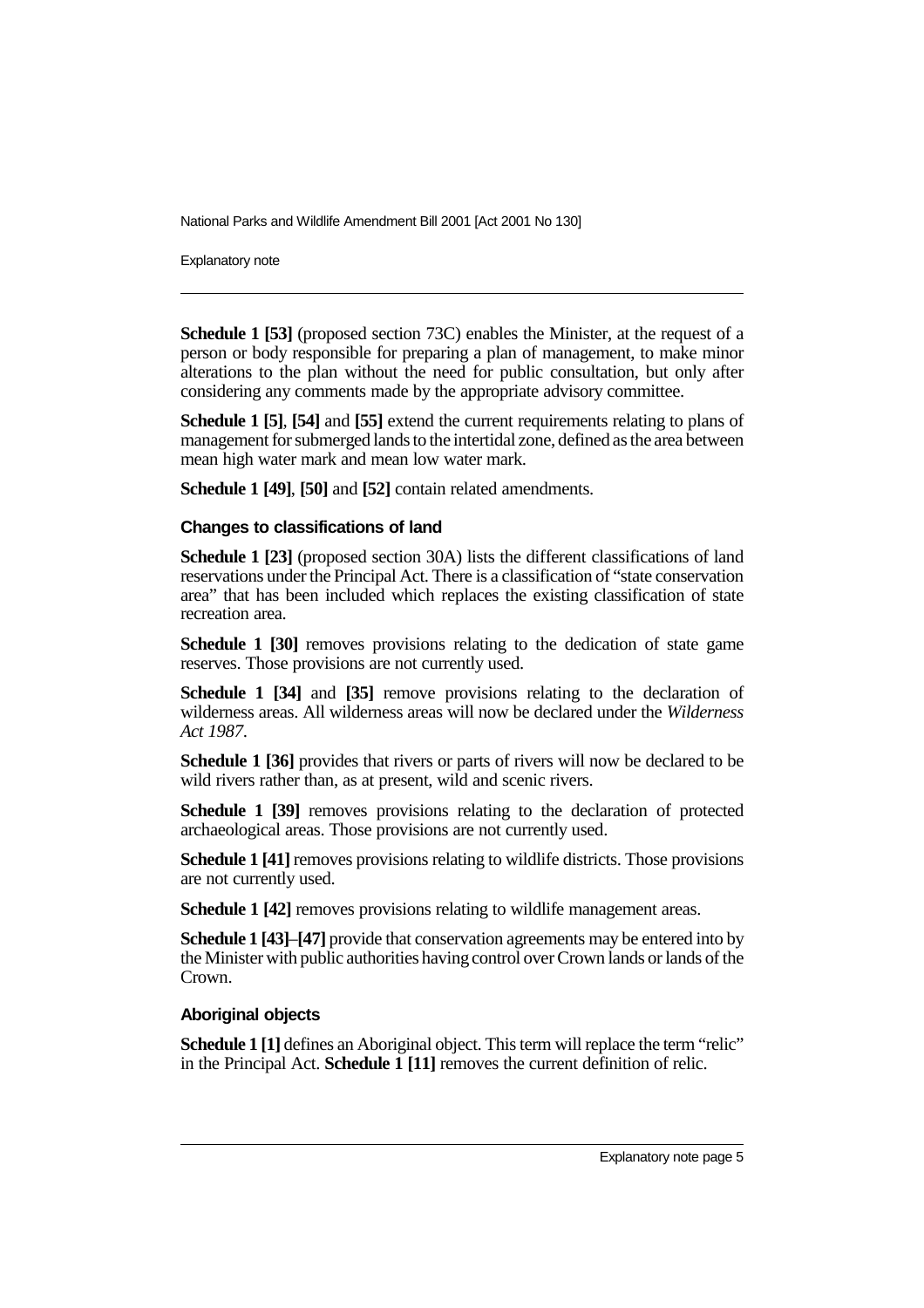Explanatory note

**Schedule 1 [53]** (proposed section 73C) enables the Minister, at the request of a person or body responsible for preparing a plan of management, to make minor alterations to the plan without the need for public consultation, but only after considering any comments made by the appropriate advisory committee.

**Schedule 1 [5]**, **[54]** and **[55]** extend the current requirements relating to plans of management for submerged lands to the intertidal zone, defined as the area between mean high water mark and mean low water mark.

**Schedule 1 [49]**, **[50]** and **[52]** contain related amendments.

#### **Changes to classifications of land**

**Schedule 1 [23]** (proposed section 30A) lists the different classifications of land reservations under the Principal Act. There is a classification of "state conservation area" that has been included which replaces the existing classification of state recreation area.

**Schedule 1 [30]** removes provisions relating to the dedication of state game reserves. Those provisions are not currently used.

**Schedule 1 [34]** and **[35]** remove provisions relating to the declaration of wilderness areas. All wilderness areas will now be declared under the *Wilderness Act 1987*.

**Schedule 1 [36]** provides that rivers or parts of rivers will now be declared to be wild rivers rather than, as at present, wild and scenic rivers.

**Schedule 1 [39]** removes provisions relating to the declaration of protected archaeological areas. Those provisions are not currently used.

**Schedule 1 [41]** removes provisions relating to wildlife districts. Those provisions are not currently used.

**Schedule 1 [42]** removes provisions relating to wildlife management areas.

**Schedule 1 [43]**–**[47]** provide that conservation agreements may be entered into by the Minister with public authorities having control over Crown lands or lands of the Crown.

### **Aboriginal objects**

**Schedule 1** [1] defines an Aboriginal object. This term will replace the term "relic" in the Principal Act. **Schedule 1 [11]** removes the current definition of relic.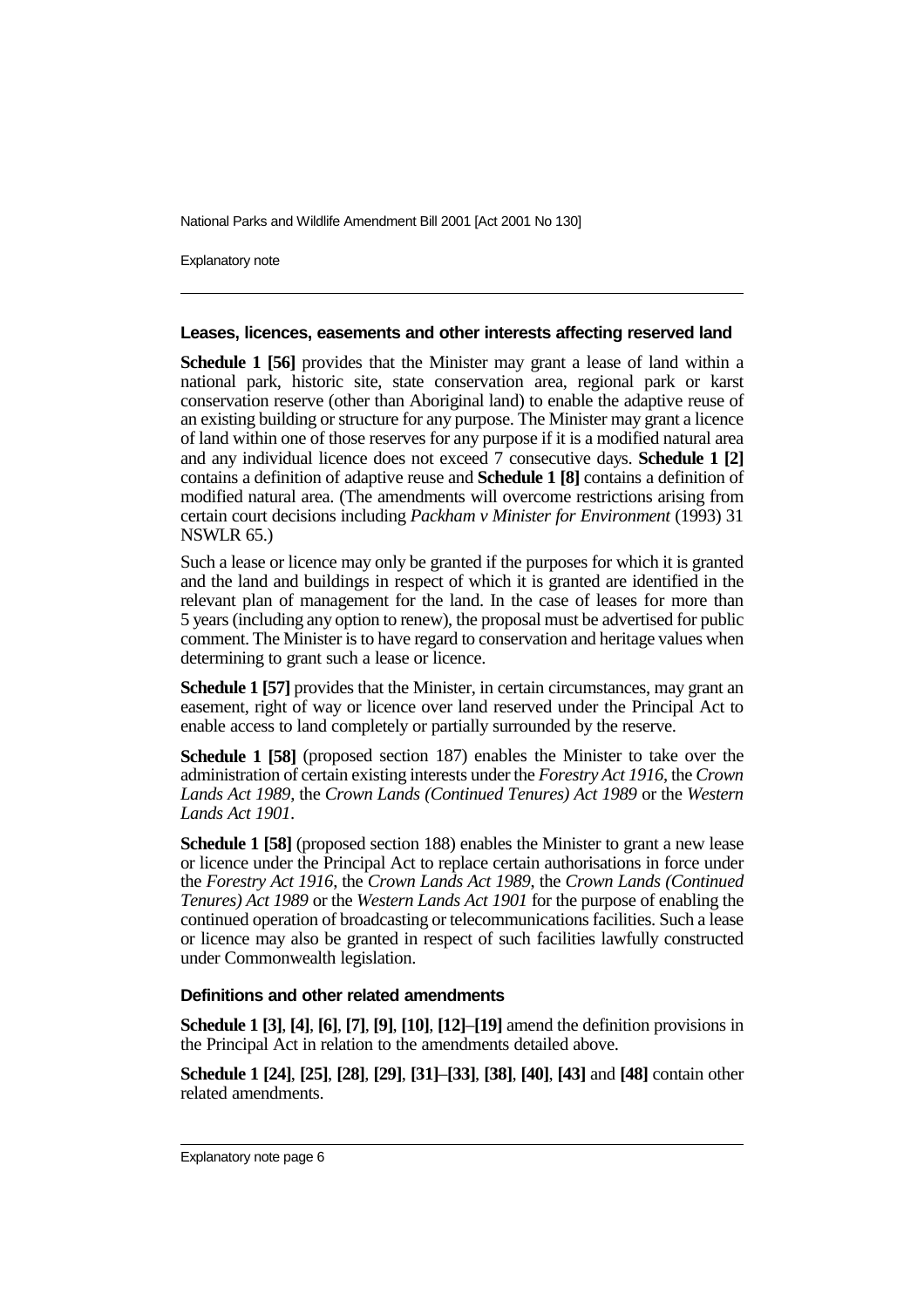Explanatory note

#### **Leases, licences, easements and other interests affecting reserved land**

**Schedule 1 [56]** provides that the Minister may grant a lease of land within a national park, historic site, state conservation area, regional park or karst conservation reserve (other than Aboriginal land) to enable the adaptive reuse of an existing building or structure for any purpose. The Minister may grant a licence of land within one of those reserves for any purpose if it is a modified natural area and any individual licence does not exceed 7 consecutive days. **Schedule 1 [2]** contains a definition of adaptive reuse and **Schedule 1 [8]** contains a definition of modified natural area. (The amendments will overcome restrictions arising from certain court decisions including *Packham v Minister for Environment* (1993) 31 NSWLR 65.)

Such a lease or licence may only be granted if the purposes for which it is granted and the land and buildings in respect of which it is granted are identified in the relevant plan of management for the land. In the case of leases for more than 5 years (including any option to renew), the proposal must be advertised for public comment. The Minister is to have regard to conservation and heritage values when determining to grant such a lease or licence.

**Schedule 1 [57]** provides that the Minister, in certain circumstances, may grant an easement, right of way or licence over land reserved under the Principal Act to enable access to land completely or partially surrounded by the reserve.

**Schedule 1 [58]** (proposed section 187) enables the Minister to take over the administration of certain existing interests under the *Forestry Act 1916*, the *Crown Lands Act 1989*, the *Crown Lands (Continued Tenures) Act 1989* or the *Western Lands Act 1901*.

**Schedule 1 [58]** (proposed section 188) enables the Minister to grant a new lease or licence under the Principal Act to replace certain authorisations in force under the *Forestry Act 1916*, the *Crown Lands Act 1989*, the *Crown Lands (Continued Tenures) Act 1989* or the *Western Lands Act 1901* for the purpose of enabling the continued operation of broadcasting or telecommunications facilities. Such a lease or licence may also be granted in respect of such facilities lawfully constructed under Commonwealth legislation.

#### **Definitions and other related amendments**

**Schedule 1 [3]**, **[4]**, **[6]**, **[7]**, **[9]**, **[10]**, **[12]**–**[19]** amend the definition provisions in the Principal Act in relation to the amendments detailed above.

**Schedule 1 [24]**, **[25]**, **[28]**, **[29]**, **[31]**–**[33]**, **[38]**, **[40]**, **[43]** and **[48]** contain other related amendments.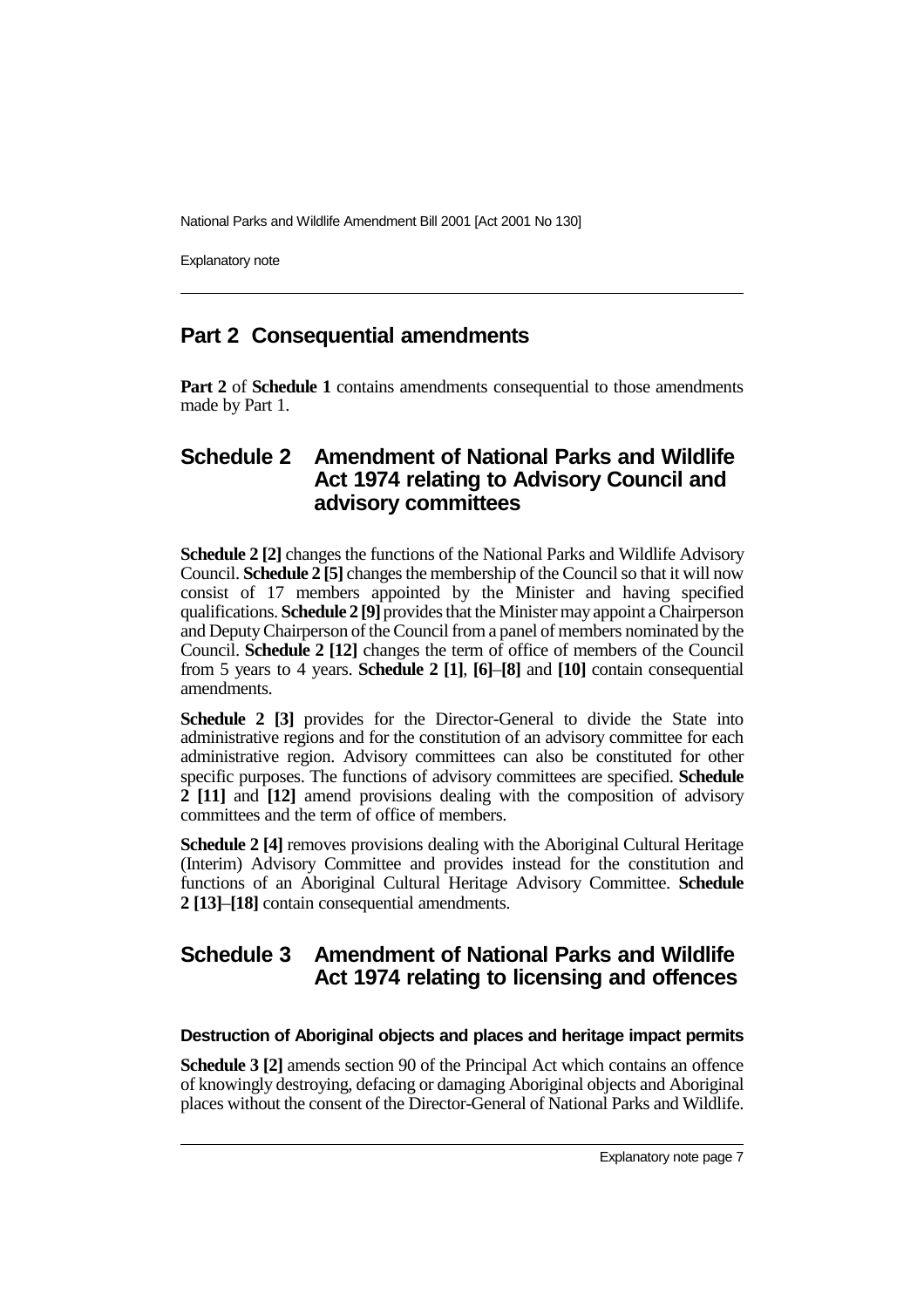Explanatory note

### **Part 2 Consequential amendments**

**Part 2** of **Schedule 1** contains amendments consequential to those amendments made by Part 1.

### **Schedule 2 Amendment of National Parks and Wildlife Act 1974 relating to Advisory Council and advisory committees**

**Schedule 2 [2]** changes the functions of the National Parks and Wildlife Advisory Council. **Schedule 2 [5]** changes the membership of the Council so that it will now consist of 17 members appointed by the Minister and having specified qualifications. **Schedule 2 [9]** provides that the Minister may appoint a Chairperson and Deputy Chairperson of the Council from a panel of members nominated by the Council. **Schedule 2 [12]** changes the term of office of members of the Council from 5 years to 4 years. **Schedule 2 [1]**, **[6]**–**[8]** and **[10]** contain consequential amendments.

**Schedule 2 [3]** provides for the Director-General to divide the State into administrative regions and for the constitution of an advisory committee for each administrative region. Advisory committees can also be constituted for other specific purposes. The functions of advisory committees are specified. **Schedule 2 [11]** and **[12]** amend provisions dealing with the composition of advisory committees and the term of office of members.

**Schedule 2 [4]** removes provisions dealing with the Aboriginal Cultural Heritage (Interim) Advisory Committee and provides instead for the constitution and functions of an Aboriginal Cultural Heritage Advisory Committee. **Schedule 2 [13]**–**[18]** contain consequential amendments.

# **Schedule 3 Amendment of National Parks and Wildlife Act 1974 relating to licensing and offences**

### **Destruction of Aboriginal objects and places and heritage impact permits**

**Schedule 3 [2]** amends section 90 of the Principal Act which contains an offence of knowingly destroying, defacing or damaging Aboriginal objects and Aboriginal places without the consent of the Director-General of National Parks and Wildlife.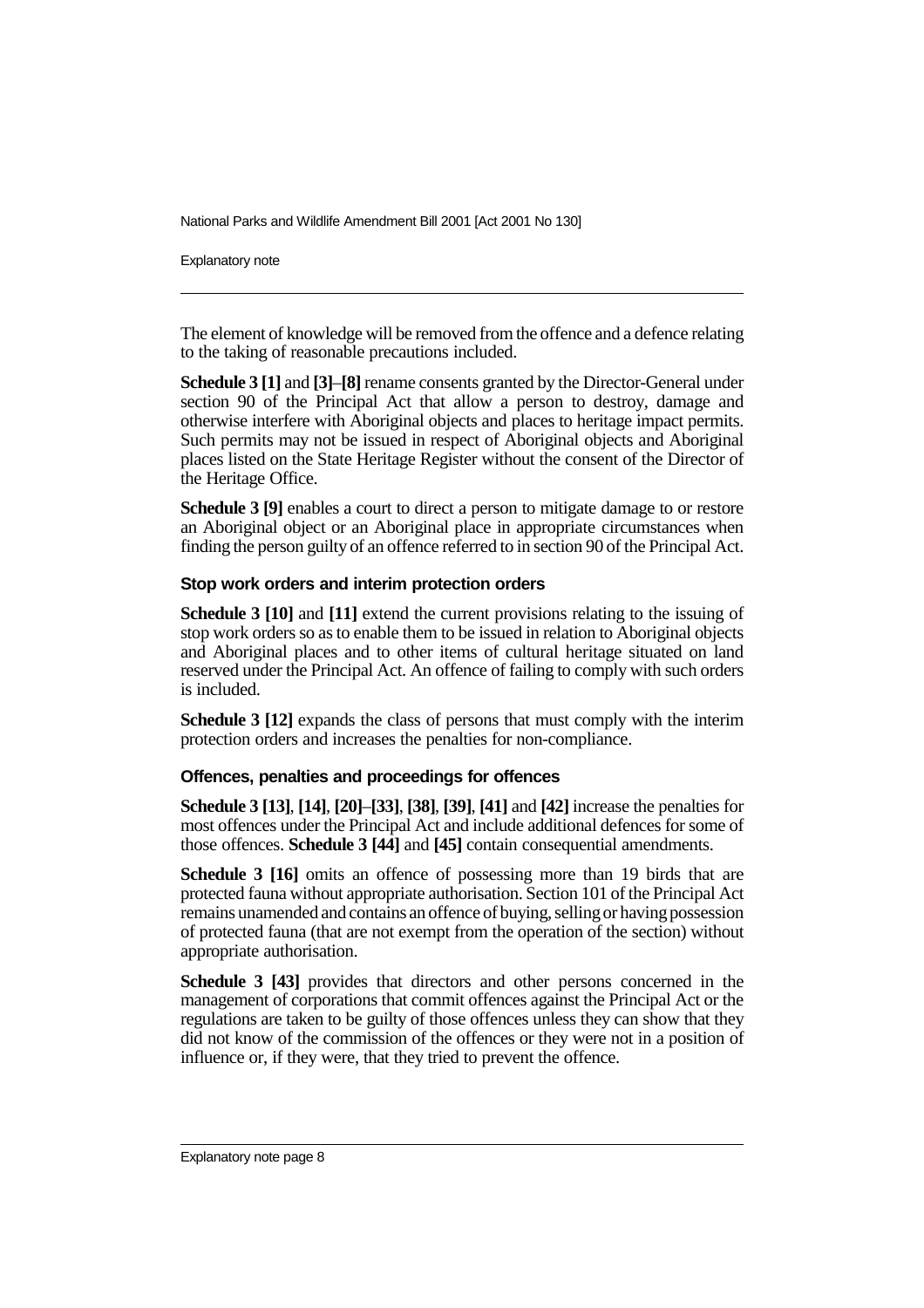Explanatory note

The element of knowledge will be removed from the offence and a defence relating to the taking of reasonable precautions included.

**Schedule 3 [1]** and **[3]**–**[8]** rename consents granted by the Director-General under section 90 of the Principal Act that allow a person to destroy, damage and otherwise interfere with Aboriginal objects and places to heritage impact permits. Such permits may not be issued in respect of Aboriginal objects and Aboriginal places listed on the State Heritage Register without the consent of the Director of the Heritage Office.

**Schedule 3 [9]** enables a court to direct a person to mitigate damage to or restore an Aboriginal object or an Aboriginal place in appropriate circumstances when finding the person guilty of an offence referred to in section 90 of the Principal Act.

### **Stop work orders and interim protection orders**

**Schedule 3 [10]** and **[11]** extend the current provisions relating to the issuing of stop work orders so as to enable them to be issued in relation to Aboriginal objects and Aboriginal places and to other items of cultural heritage situated on land reserved under the Principal Act. An offence of failing to comply with such orders is included.

**Schedule 3 [12]** expands the class of persons that must comply with the interim protection orders and increases the penalties for non-compliance.

### **Offences, penalties and proceedings for offences**

**Schedule 3 [13]**, **[14]**, **[20]**–**[33]**, **[38]**, **[39]**, **[41]** and **[42]** increase the penalties for most offences under the Principal Act and include additional defences for some of those offences. **Schedule 3 [44]** and **[45]** contain consequential amendments.

**Schedule 3 [16]** omits an offence of possessing more than 19 birds that are protected fauna without appropriate authorisation. Section 101 of the Principal Act remains unamended and contains an offence of buying, selling or having possession of protected fauna (that are not exempt from the operation of the section) without appropriate authorisation.

**Schedule 3 [43]** provides that directors and other persons concerned in the management of corporations that commit offences against the Principal Act or the regulations are taken to be guilty of those offences unless they can show that they did not know of the commission of the offences or they were not in a position of influence or, if they were, that they tried to prevent the offence.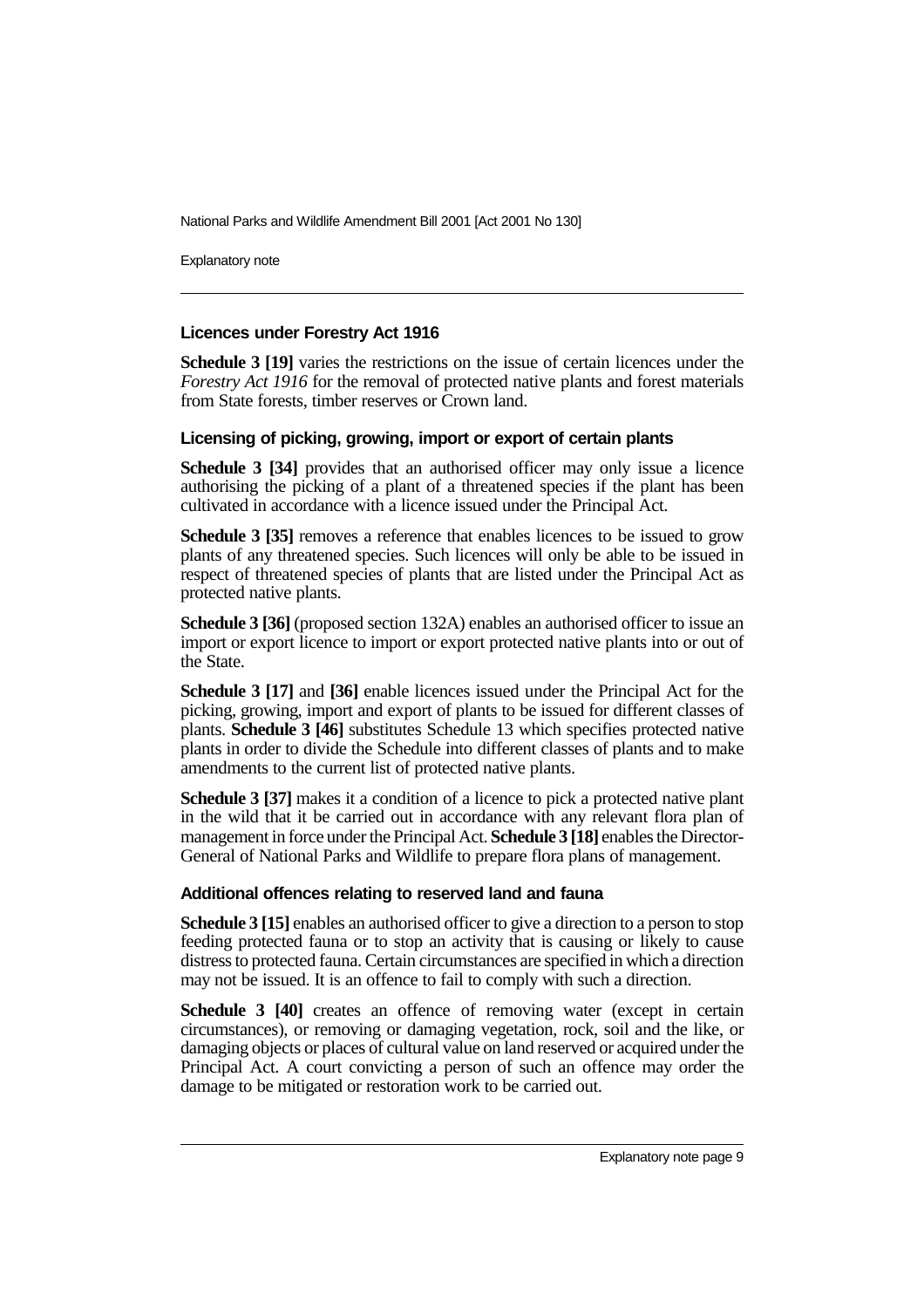Explanatory note

#### **Licences under Forestry Act 1916**

**Schedule 3 [19]** varies the restrictions on the issue of certain licences under the *Forestry Act 1916* for the removal of protected native plants and forest materials from State forests, timber reserves or Crown land.

#### **Licensing of picking, growing, import or export of certain plants**

**Schedule 3 [34]** provides that an authorised officer may only issue a licence authorising the picking of a plant of a threatened species if the plant has been cultivated in accordance with a licence issued under the Principal Act.

**Schedule 3 [35]** removes a reference that enables licences to be issued to grow plants of any threatened species. Such licences will only be able to be issued in respect of threatened species of plants that are listed under the Principal Act as protected native plants.

**Schedule 3 [36]** (proposed section 132A) enables an authorised officer to issue an import or export licence to import or export protected native plants into or out of the State.

**Schedule 3 [17]** and **[36]** enable licences issued under the Principal Act for the picking, growing, import and export of plants to be issued for different classes of plants. **Schedule 3 [46]** substitutes Schedule 13 which specifies protected native plants in order to divide the Schedule into different classes of plants and to make amendments to the current list of protected native plants.

**Schedule 3 [37]** makes it a condition of a licence to pick a protected native plant in the wild that it be carried out in accordance with any relevant flora plan of management in force under the Principal Act. **Schedule 3 [18]** enables the Director-General of National Parks and Wildlife to prepare flora plans of management.

### **Additional offences relating to reserved land and fauna**

**Schedule 3 [15]** enables an authorised officer to give a direction to a person to stop feeding protected fauna or to stop an activity that is causing or likely to cause distress to protected fauna. Certain circumstances are specified in which a direction may not be issued. It is an offence to fail to comply with such a direction.

**Schedule 3 [40]** creates an offence of removing water (except in certain circumstances), or removing or damaging vegetation, rock, soil and the like, or damaging objects or places of cultural value on land reserved or acquired under the Principal Act. A court convicting a person of such an offence may order the damage to be mitigated or restoration work to be carried out.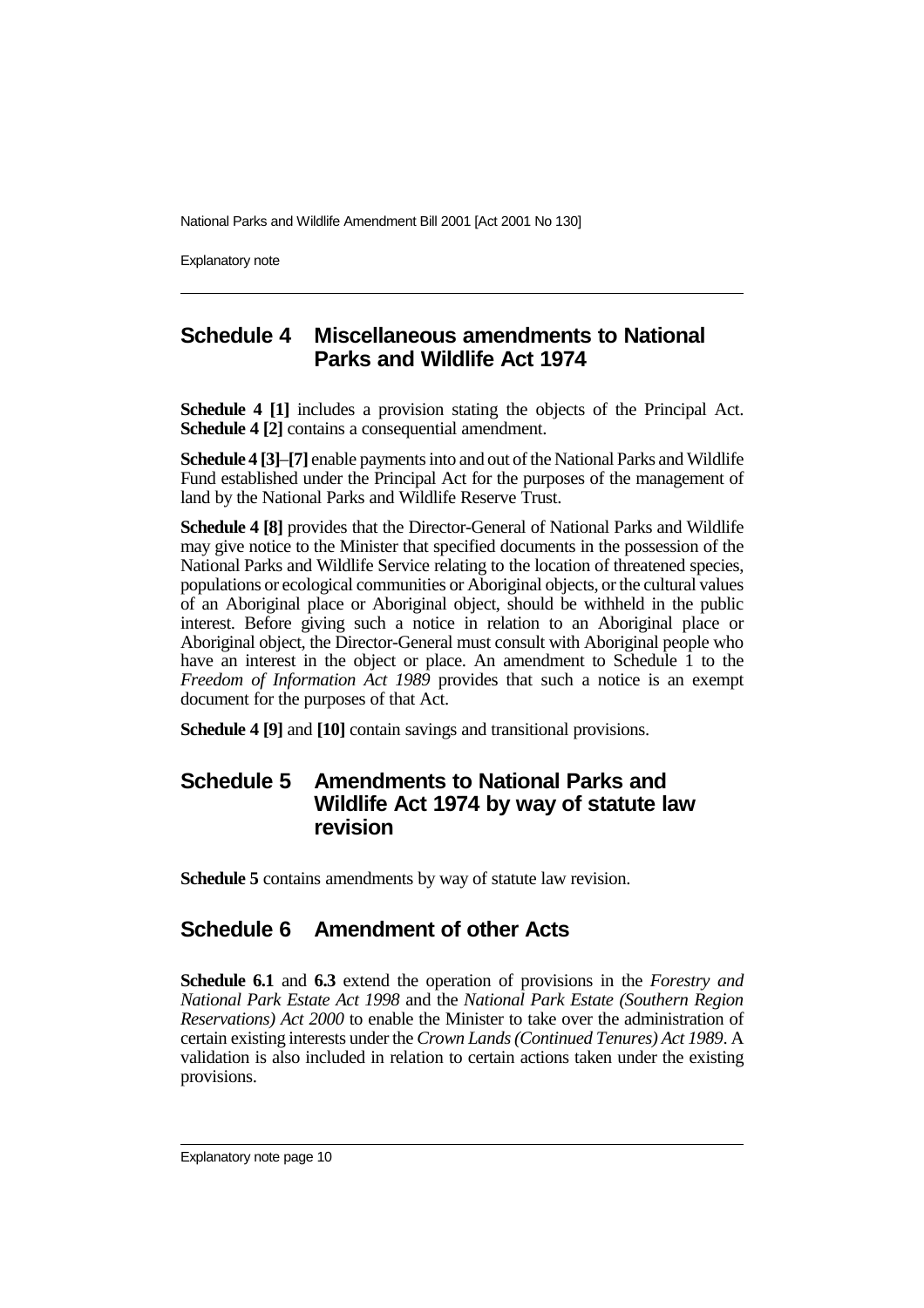Explanatory note

### **Schedule 4 Miscellaneous amendments to National Parks and Wildlife Act 1974**

**Schedule 4 [1]** includes a provision stating the objects of the Principal Act. **Schedule 4 [2]** contains a consequential amendment.

**Schedule 4 [3]**–**[7]** enable payments into and out of the National Parks and Wildlife Fund established under the Principal Act for the purposes of the management of land by the National Parks and Wildlife Reserve Trust.

**Schedule 4 [8]** provides that the Director-General of National Parks and Wildlife may give notice to the Minister that specified documents in the possession of the National Parks and Wildlife Service relating to the location of threatened species, populations or ecological communities or Aboriginal objects, or the cultural values of an Aboriginal place or Aboriginal object, should be withheld in the public interest. Before giving such a notice in relation to an Aboriginal place or Aboriginal object, the Director-General must consult with Aboriginal people who have an interest in the object or place. An amendment to Schedule 1 to the *Freedom of Information Act 1989* provides that such a notice is an exempt document for the purposes of that Act.

**Schedule 4 [9]** and **[10]** contain savings and transitional provisions.

# **Schedule 5 Amendments to National Parks and Wildlife Act 1974 by way of statute law revision**

**Schedule 5** contains amendments by way of statute law revision.

# **Schedule 6 Amendment of other Acts**

**Schedule 6.1** and **6.3** extend the operation of provisions in the *Forestry and National Park Estate Act 1998* and the *National Park Estate (Southern Region Reservations) Act 2000* to enable the Minister to take over the administration of certain existing interests under the *Crown Lands (Continued Tenures) Act 1989*. A validation is also included in relation to certain actions taken under the existing provisions.